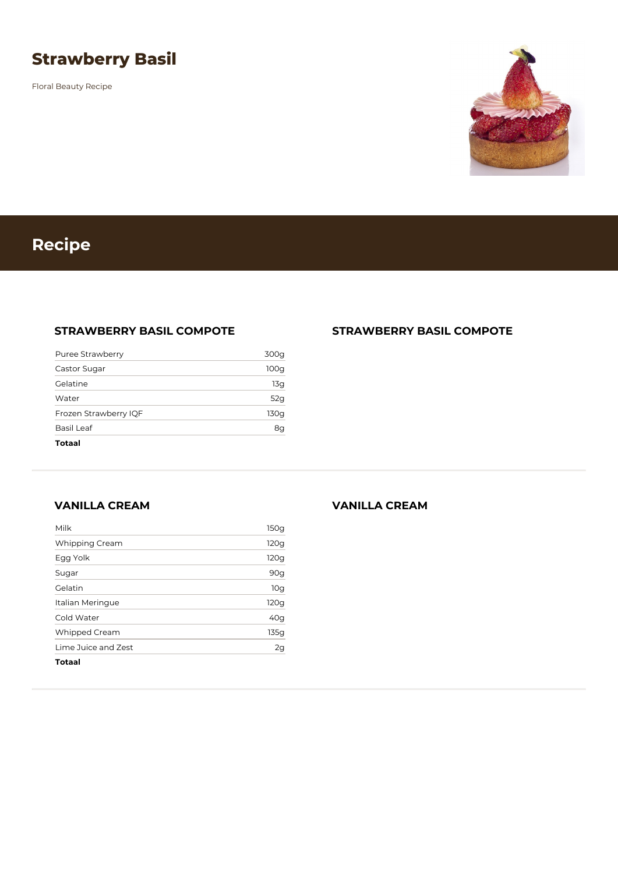## **Strawberry Basil**

Floral Beauty Recipe



# **Recipe**

### **STRAWBERRY BASIL COMPOTE**

| Totaal                |                  |
|-----------------------|------------------|
| Basil Leaf            | 8g               |
| Frozen Strawberry IQF | 130g             |
| Water                 | 52g              |
| Gelatine              | 13g              |
| Castor Sugar          | 100 <sub>g</sub> |
| Puree Strawberry      | 300g             |

#### **STRAWBERRY BASIL COMPOTE**

**VANILLA CREAM**

| <b>Totaal</b>        |      |
|----------------------|------|
| Lime Juice and Zest  | 2g   |
| <b>Whipped Cream</b> | 135g |
| Cold Water           | 40g  |
| Italian Meringue     | 120g |
| Gelatin              | 10g  |
| Sugar                | 90g  |
| Egg Yolk             | 120g |
| Whipping Cream       | 120g |
| Milk                 | 150g |

#### **VANILLA CREAM**